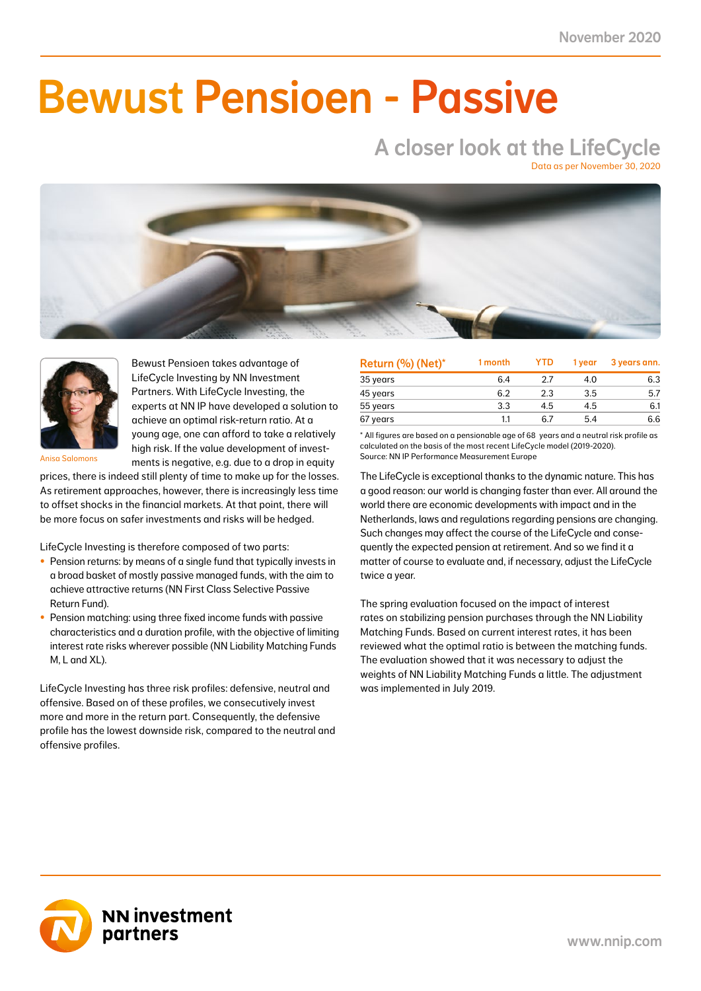NN First Class Selective Passive Return Fund 7.4 2.9 1.6 0.7 3.3 1.4 5.7 2.3 18.1 7.5 41.0

### NN Liability Matching Fund M -0.1 0.0 1.3 0.5 0.8 0.3 1.1 0.4 3.4 1.4 38.0  $\blacksquare$  IIMAAILIA NN Liability Matching Fund XL -1.8 -0.2 27.8 3.0 20.3 2.3 24.0 2.5 90.8 8.2 11.0 Bewust Pensioen - Passive

# A closer look at the LifeCycle

Data as per November 30, 2020





Bewust Pensioen takes advantage of LifeCycle Investing by NN Investment Partners. With LifeCycle Investing, the experts at NN IP have developed a solution to achieve an optimal risk-return ratio. At a young age, one can afford to take a relatively high risk. If the value development of investments is negative, e.g. due to a drop in equity

Anisa Salomons

prices, there is indeed still plenty of time to make up for the losses. As retirement approaches, however, there is increasingly less time to offset shocks in the financial markets. At that point, there will be more focus on safer investments and risks will be hedged.

LifeCycle Investing is therefore composed of two parts:

- Pension returns: by means of a single fund that typically invests in a broad basket of mostly passive managed funds, with the aim to achieve attractive returns (NN First Class Selective Passive Return Fund).
- Pension matching: using three fixed income funds with passive characteristics and a duration profile, with the objective of limiting interest rate risks wherever possible (NN Liability Matching Funds M, L and XL).

LifeCycle Investing has three risk profiles: defensive, neutral and offensive. Based on of these profiles, we consecutively invest more and more in the return part. Consequently, the defensive profile has the lowest downside risk, compared to the neutral and offensive profiles.

| Return (%) (Net)* | 1 month | <b>YTD</b> | 1 vear | 3 years ann. |
|-------------------|---------|------------|--------|--------------|
| 35 years          | 6.4     | 2.7        | 4.0    | 6.3          |
| 45 years          | 6.2     | 2.3        | 3.5    | 5.7          |
| 55 years          | 3.3     | 4.5        | 4.5    | 6.1          |
| 67 years          | 1.1     | 67         | 5.4    | 6.6          |

\* All figures are based on a pensionable age of 68 years and a neutral risk profile as calculated on the basis of the most recent LifeCycle model (2019-2020). Source: NN IP Performance Measurement Europe

The LifeCycle is exceptional thanks to the dynamic nature. This has a good reason: our world is changing faster than ever. All around the world there are economic developments with impact and in the Netherlands, laws and regulations regarding pensions are changing. Such changes may affect the course of the LifeCycle and consequently the expected pension at retirement. And so we find it a matter of course to evaluate and, if necessary, adjust the LifeCycle twice a year.

The spring evaluation focused on the impact of interest rates on stabilizing pension purchases through the NN Liability Matching Funds. Based on current interest rates, it has been reviewed what the optimal ratio is between the matching funds. The evaluation showed that it was necessary to adjust the weights of NN Liability Matching Funds a little. The adjustment was implemented in July 2019.

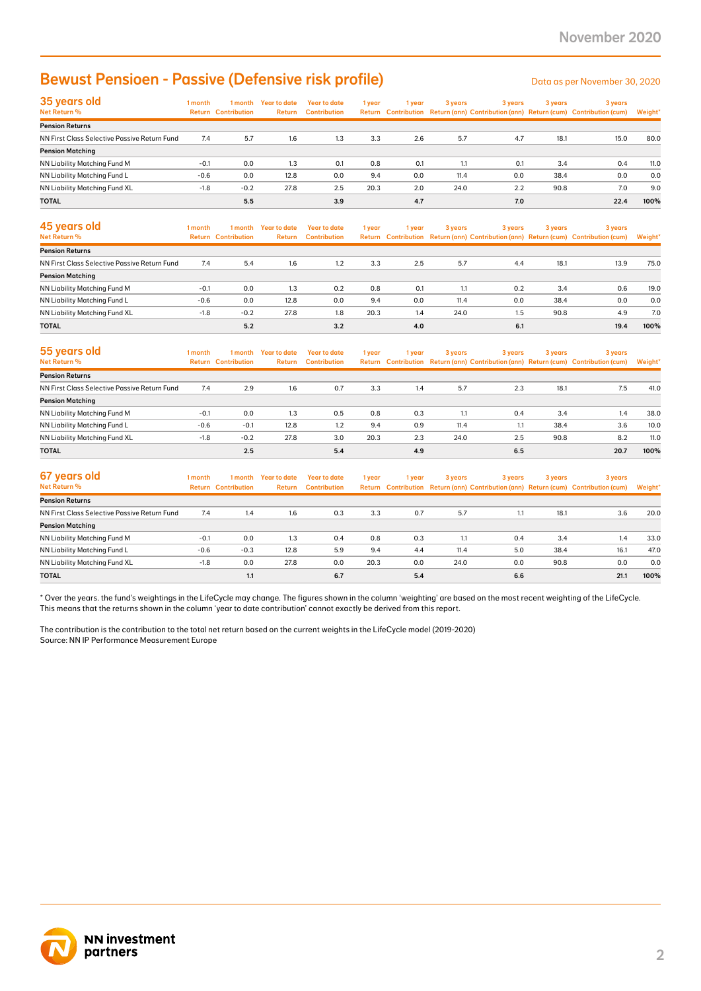### Bewust Pensioen - Passive (Defensive risk profile)

| 35 years old<br>Net Return %                 | 1 month | 1 month<br><b>Return Contribution</b> | Year to date<br>Return | Year to date<br><b>Contribution</b> | 1 year | 1 year | 3 years | 3 years | 3 years | 3 years<br>Return Contribution Return (ann) Contribution (ann) Return (cum) Contribution (cum) | Weight* |
|----------------------------------------------|---------|---------------------------------------|------------------------|-------------------------------------|--------|--------|---------|---------|---------|------------------------------------------------------------------------------------------------|---------|
| <b>Pension Returns</b>                       |         |                                       |                        |                                     |        |        |         |         |         |                                                                                                |         |
| NN First Class Selective Passive Return Fund | 7.4     | 5.7                                   | 1.6                    | 1.3                                 | 3.3    | 2.6    | 5.7     | 4.7     | 18.1    | 15.0                                                                                           | 80.0    |
| <b>Pension Matching</b>                      |         |                                       |                        |                                     |        |        |         |         |         |                                                                                                |         |
| NN Liability Matching Fund M                 | $-0.1$  | 0.0                                   | 1.3                    | 0.1                                 | 0.8    | 0.1    |         | 0.1     | 3.4     | 0.4                                                                                            | 11.0    |
| NN Liability Matching Fund L                 | $-0.6$  | 0.0                                   | 12.8                   | 0.0                                 | 9.4    | 0.0    | 11.4    | 0.0     | 38.4    | 0.0                                                                                            | 0.0     |
| NN Liability Matching Fund XL                | $-1.8$  | $-0.2$                                | 27.8                   | 2.5                                 | 20.3   | 2.0    | 24.0    | 2.2     | 90.8    | 7.0                                                                                            | 9.0     |
| <b>TOTAL</b>                                 |         | 5.5                                   |                        | 3.9                                 |        | 4.7    |         | 7.0     |         | 22.4                                                                                           | 100%    |

| <b>Bewust Pensioen - Passive (Defensive risk profile)</b>                                                                                                                                                                                                                                               |                  |                                       |                                |                                            |             |            |              |            |              | Data as per November 30, 2020                                                                  |             |
|---------------------------------------------------------------------------------------------------------------------------------------------------------------------------------------------------------------------------------------------------------------------------------------------------------|------------------|---------------------------------------|--------------------------------|--------------------------------------------|-------------|------------|--------------|------------|--------------|------------------------------------------------------------------------------------------------|-------------|
| 35 years old<br>Net Return %                                                                                                                                                                                                                                                                            | 1 month          | <b>Return Contribution</b>            | 1 month Year to date<br>Return | <b>Year to date</b><br><b>Contribution</b> | 1 year      | 1 year     | 3 years      | 3 years    | 3 years      | 3 years<br>Return Contribution Return (ann) Contribution (ann) Return (cum) Contribution (cum) | Weight'     |
| <b>Pension Returns</b>                                                                                                                                                                                                                                                                                  |                  |                                       |                                |                                            |             |            |              |            |              |                                                                                                |             |
| NN First Class Selective Passive Return Fund                                                                                                                                                                                                                                                            | 7.4              | 5.7                                   | 1.6                            | 1.3                                        | 3.3         | 2.6        | 5.7          | 4.7        | 18.1         | 15.0                                                                                           | 80.0        |
| <b>Pension Matching</b>                                                                                                                                                                                                                                                                                 |                  |                                       |                                |                                            |             | 0.1        |              |            |              |                                                                                                |             |
| NN Liability Matching Fund M<br>NN Liability Matching Fund L                                                                                                                                                                                                                                            | $-0.1$<br>$-0.6$ | 0.0<br>0.0                            | 1.3<br>12.8                    | 0.1<br>0.0                                 | 0.8<br>9.4  | 0.0        | 1.1<br>11.4  | 0.1<br>0.0 | 3.4<br>38.4  | 0.4<br>0.0                                                                                     | 11.0<br>0.0 |
| NN Liability Matching Fund XL                                                                                                                                                                                                                                                                           | $-1.8$           | $-0.2$                                | 27.8                           | 2.5                                        | 20.3        | 2.0        | 24.0         | 2.2        | 90.8         | 7.0                                                                                            | 9.0         |
| TOTAL                                                                                                                                                                                                                                                                                                   |                  | 5.5                                   |                                | 3.9                                        |             | 4.7        |              | 7.0        |              | 22.4                                                                                           | 100%        |
| 45 years old                                                                                                                                                                                                                                                                                            | 1 month          | 1 month                               | <b>Year to date</b>            | <b>Year to date</b>                        |             |            |              |            |              |                                                                                                |             |
| Net Return %                                                                                                                                                                                                                                                                                            |                  | <b>Return Contribution</b>            | Return                         | <b>Contribution</b>                        | 1 year      | 1 year     | 3 years      | 3 years    | 3 years      | 3 years<br>Return Contribution Return (ann) Contribution (ann) Return (cum) Contribution (cum) | Weight'     |
| <b>Pension Returns</b>                                                                                                                                                                                                                                                                                  |                  |                                       |                                |                                            |             |            |              |            |              |                                                                                                |             |
| NN First Class Selective Passive Return Fund                                                                                                                                                                                                                                                            | 7.4              | 5.4                                   | 1.6                            | 1.2                                        | 3.3         | 2.5        | 5.7          | 4.4        | 18.1         | 13.9                                                                                           | 75.0        |
| <b>Pension Matching</b>                                                                                                                                                                                                                                                                                 |                  |                                       |                                |                                            |             |            |              |            |              |                                                                                                |             |
| NN Liability Matching Fund M                                                                                                                                                                                                                                                                            | $-0.1$           | 0.0                                   | 1.3                            | 0.2                                        | 0.8         | 0.1<br>0.0 | 1.1          | 0.2        | 3.4          | 0.6                                                                                            | 19.0        |
| NN Liability Matching Fund L<br>NN Liability Matching Fund XL                                                                                                                                                                                                                                           | $-0.6$<br>$-1.8$ | 0.0<br>$-0.2$                         | 12.8<br>27.8                   | 0.0<br>1.8                                 | 9.4<br>20.3 | 1.4        | 11.4<br>24.0 | 0.0<br>1.5 | 38.4<br>90.8 | 0.0<br>4.9                                                                                     | 0.0<br>7.0  |
| TOTAL                                                                                                                                                                                                                                                                                                   |                  | 5.2                                   |                                | 3.2                                        |             | 4.0        |              | 6.1        |              | 19.4                                                                                           | 100%        |
|                                                                                                                                                                                                                                                                                                         |                  |                                       |                                |                                            |             |            |              |            |              |                                                                                                |             |
| 55 years old<br>Net Return %                                                                                                                                                                                                                                                                            | 1 month          | 1 month<br><b>Return Contribution</b> | <b>Year to date</b><br>Return  | <b>Year to date</b><br><b>Contribution</b> | 1 year      | 1 year     | 3 years      | 3 years    | 3 years      | 3 years<br>Return Contribution Return (ann) Contribution (ann) Return (cum) Contribution (cum) | Weight*     |
| <b>Pension Returns</b>                                                                                                                                                                                                                                                                                  |                  |                                       |                                |                                            |             |            |              |            |              |                                                                                                |             |
| NN First Class Selective Passive Return Fund                                                                                                                                                                                                                                                            | 7.4              | 2.9                                   | 1.6                            | 0.7                                        | 3.3         | 1.4        | 5.7          | 2.3        | 18.1         | 7.5                                                                                            | 41.0        |
| <b>Pension Matching</b>                                                                                                                                                                                                                                                                                 |                  |                                       |                                |                                            |             |            |              |            |              |                                                                                                |             |
| NN Liability Matching Fund M                                                                                                                                                                                                                                                                            | $-0.1$           | 0.0                                   | 1.3                            | 0.5                                        | 0.8         | 0.3        | 1.1          | 0.4        | 3.4          | 1.4                                                                                            | 38.0        |
| NN Liability Matching Fund L                                                                                                                                                                                                                                                                            | $-0.6$           | $-0.1$                                | 12.8                           | 1.2                                        | 9.4         | 0.9        | 11.4         | 1.1        | 38.4         | 3.6                                                                                            | 10.0        |
| NN Liability Matching Fund XL                                                                                                                                                                                                                                                                           | $-1.8$           | $-0.2$                                | 27.8                           | 3.0                                        | 20.3        | 2.3        | 24.0         | 2.5        | 90.8         | 8.2                                                                                            | 11.0        |
| TOTAL                                                                                                                                                                                                                                                                                                   |                  | 2.5                                   |                                | 5.4                                        |             | 4.9        |              | 6.5        |              | 20.7                                                                                           | 100%        |
| 67 years old                                                                                                                                                                                                                                                                                            | 1 month          | 1 month                               | <b>Year to date</b>            | <b>Year to date</b>                        | 1 year      | 1 year     | 3 years      | 3 years    | 3 years      | 3 years                                                                                        |             |
| Net Return %                                                                                                                                                                                                                                                                                            |                  | <b>Return Contribution</b>            | Return                         | <b>Contribution</b>                        |             |            |              |            |              | Return Contribution Return (ann) Contribution (ann) Return (cum) Contribution (cum)            | Weight'     |
| <b>Pension Returns</b>                                                                                                                                                                                                                                                                                  |                  |                                       |                                |                                            |             |            |              |            |              |                                                                                                |             |
| NN First Class Selective Passive Return Fund                                                                                                                                                                                                                                                            | 7.4              | 1.4                                   | 1.6                            | 0.3                                        | 3.3         | 0.7        | 5.7          | 1.1        | 18.1         | 3.6                                                                                            | 20.0        |
| <b>Pension Matching</b><br>NN Liability Matching Fund M                                                                                                                                                                                                                                                 | $-0.1$           | 0.0                                   | 1.3                            | 0.4                                        | 0.8         | 0.3        | 1.1          | 0.4        | 3.4          | 1.4                                                                                            | 33.0        |
| NN Liability Matching Fund L                                                                                                                                                                                                                                                                            | $-0.6$           | $-0.3$                                | 12.8                           | 5.9                                        | 9.4         | 4.4        | 11.4         | 5.0        | 38.4         | 16.1                                                                                           | 47.0        |
| NN Liability Matching Fund XL                                                                                                                                                                                                                                                                           | $-1.8$           | 0.0                                   | 27.8                           | 0.0                                        | 20.3        | 0.0        | 24.0         | 0.0        | 90.8         | 0.0                                                                                            | 0.0         |
| <b>TOTAL</b>                                                                                                                                                                                                                                                                                            |                  | 1.1                                   |                                | 6.7                                        |             | 5.4        |              | 6.6        |              | 21.1                                                                                           | 100%        |
| This means that the returns shown in the column 'year to date contribution' cannot exactly be derived from this report.<br>The contribution is the contribution to the total net return based on the current weights in the LifeCycle model (2019-2020)<br>Source: NN IP Performance Measurement Europe |                  |                                       |                                |                                            |             |            |              |            |              |                                                                                                |             |
| <b>NN investment</b><br>partners                                                                                                                                                                                                                                                                        |                  |                                       |                                |                                            |             |            |              |            |              |                                                                                                |             |

| 55 years old                                 | 1 month | 1 month                    | Year to date  | Year to date        | 1 year | l year | 3 years | 3 years | 3 years | 3 years                                                                             |         |
|----------------------------------------------|---------|----------------------------|---------------|---------------------|--------|--------|---------|---------|---------|-------------------------------------------------------------------------------------|---------|
| <b>Net Return %</b>                          |         | <b>Return Contribution</b> | <b>Return</b> | <b>Contribution</b> |        |        |         |         |         | Return Contribution Return (ann) Contribution (ann) Return (cum) Contribution (cum) | Weight* |
| <b>Pension Returns</b>                       |         |                            |               |                     |        |        |         |         |         |                                                                                     |         |
| NN First Class Selective Passive Return Fund | 7.4     | 2.9                        | 1.6           | 0.7                 | 3.3    | 1.4    | 5.7     | 2.3     | 18.1    | 7.5                                                                                 | 41.0    |
| <b>Pension Matching</b>                      |         |                            |               |                     |        |        |         |         |         |                                                                                     |         |
| NN Liability Matching Fund M                 | $-0.1$  | 0.0                        | 1.3           | 0.5                 | 0.8    | 0.3    | 1.1     | 0.4     | 3.4     | 1.4                                                                                 | 38.0    |
| NN Liability Matching Fund L                 | $-0.6$  | $-0.1$                     | 12.8          | 1.2                 | 9.4    | 0.9    | 11.4    | 1.1     | 38.4    | 3.6                                                                                 | 10.0    |
| NN Liability Matching Fund XL                | $-1.8$  | $-0.2$                     | 27.8          | 3.0                 | 20.3   | 2.3    | 24.0    | 2.5     | 90.8    | 8.2                                                                                 | 11.0    |
| <b>TOTAL</b>                                 |         | 2.5                        |               | 5.4                 |        | 4.9    |         | 6.5     |         | 20.7                                                                                | 100%    |

| 67 years old                                 | 1 month | 1 month                    | <b>Year to date</b> | Year to date        | 1 year | 1 year | 3 years | 3 years | 3 years | 3 years                                                                             |         |
|----------------------------------------------|---------|----------------------------|---------------------|---------------------|--------|--------|---------|---------|---------|-------------------------------------------------------------------------------------|---------|
| Net Return %                                 |         | <b>Return Contribution</b> | Return              | <b>Contribution</b> |        |        |         |         |         | Return Contribution Return (ann) Contribution (ann) Return (cum) Contribution (cum) | Weight* |
| <b>Pension Returns</b>                       |         |                            |                     |                     |        |        |         |         |         |                                                                                     |         |
| NN First Class Selective Passive Return Fund | 7.4     | 1.4                        | 1.6                 | 0.3                 | 3.3    | 0.7    | 5.7     |         | 18.1    | 3.6                                                                                 | 20.0    |
| <b>Pension Matching</b>                      |         |                            |                     |                     |        |        |         |         |         |                                                                                     |         |
| NN Liability Matching Fund M                 | $-0.1$  | 0.0                        | 1.3                 | 0.4                 | 0.8    | 0.3    | 1.1     | 0.4     | 3.4     | 1.4                                                                                 | 33.0    |
| NN Liability Matching Fund L                 | $-0.6$  | $-0.3$                     | 12.8                | 5.9                 | 9.4    | 4.4    | 11.4    | 5.0     | 38.4    | 16.1                                                                                | 47.0    |
| NN Liability Matching Fund XL                | $-1.8$  | 0.0                        | 27.8                | 0.0                 | 20.3   | 0.0    | 24.0    | 0.0     | 90.8    | 0.0                                                                                 | 0.0     |
| <b>TOTAL</b>                                 |         | 1.1                        |                     | 6.7                 |        | 5.4    |         | 6.6     |         | 21.1                                                                                | 100%    |

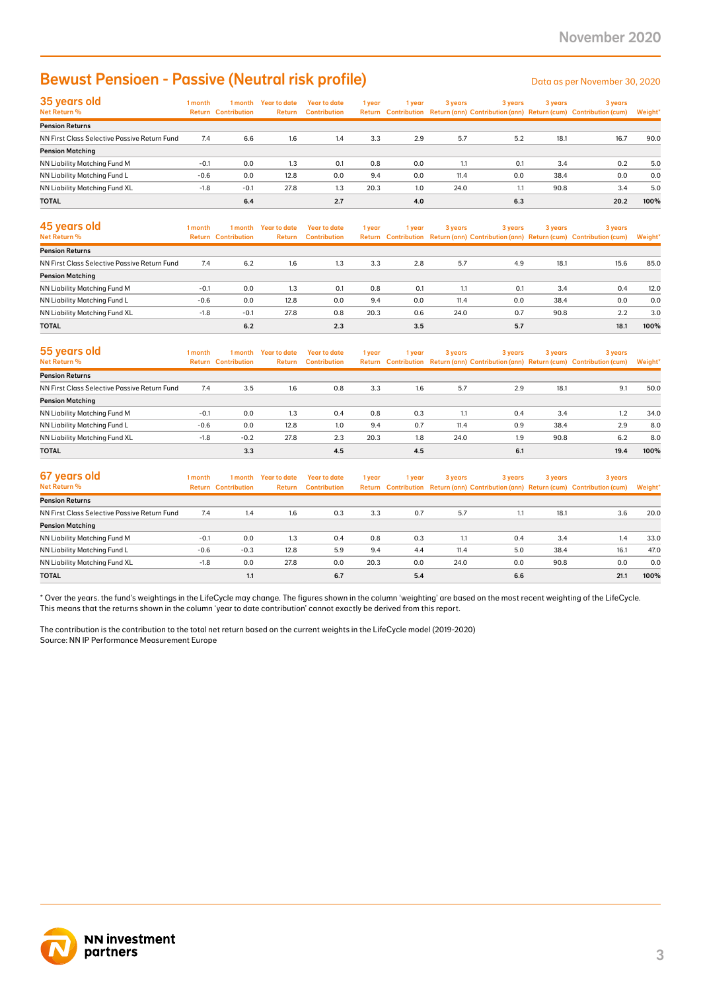### Bewust Pensioen - Passive (Neutral risk profile) Data as per November 30, 2020

| 35 years old                                 | 1 month | 1 month                    | Year to date | Year to date        | 1 year | 1 year | 3 years | 3 years | 3 years | 3 years                                                                             |         |
|----------------------------------------------|---------|----------------------------|--------------|---------------------|--------|--------|---------|---------|---------|-------------------------------------------------------------------------------------|---------|
| Net Return %                                 |         | <b>Return Contribution</b> | Return       | <b>Contribution</b> |        |        |         |         |         | Return Contribution Return (ann) Contribution (ann) Return (cum) Contribution (cum) | Weight* |
| <b>Pension Returns</b>                       |         |                            |              |                     |        |        |         |         |         |                                                                                     |         |
| NN First Class Selective Passive Return Fund | 7.4     | 6.6                        | 1.6          | 1.4                 | 3.3    | 2.9    | 5.7     | 5.2     | 18.1    | 16.7                                                                                | 90.0    |
| <b>Pension Matching</b>                      |         |                            |              |                     |        |        |         |         |         |                                                                                     |         |
| NN Liability Matching Fund M                 | $-0.1$  | 0.0                        | 1.3          | 0.1                 | 0.8    | 0.0    |         | 0.1     | 3.4     | 0.2                                                                                 | 5.0     |
| NN Liability Matching Fund L                 | $-0.6$  | 0.0                        | 12.8         | 0.0                 | 9.4    | 0.0    | 11.4    | 0.0     | 38.4    | 0.0                                                                                 | 0.0     |
| NN Liability Matching Fund XL                | $-1.8$  | $-0.1$                     | 27.8         | 1.3                 | 20.3   | 1.0    | 24.0    | 1.1     | 90.8    | 3.4                                                                                 | 5.0     |
| <b>TOTAL</b>                                 |         | 6.4                        |              | 2.7                 |        | 4.0    |         | 6.3     |         | 20.2                                                                                | 100%    |

| <b>Bewust Pensioen - Passive (Neutral risk profile)</b>                                                                                                                                                                                                                                                       |         |                                       |                                      |                                            |        |        |         |         |         | Data as per November 30, 2020                                                                  |                |
|---------------------------------------------------------------------------------------------------------------------------------------------------------------------------------------------------------------------------------------------------------------------------------------------------------------|---------|---------------------------------------|--------------------------------------|--------------------------------------------|--------|--------|---------|---------|---------|------------------------------------------------------------------------------------------------|----------------|
| 35 years old<br>Net Return %                                                                                                                                                                                                                                                                                  | 1 month | <b>Return Contribution</b>            | 1 month Year to date<br>Return       | <b>Year to date</b><br><b>Contribution</b> | 1 year | 1 year | 3 years | 3 years | 3 years | 3 years<br>Return Contribution Return (ann) Contribution (ann) Return (cum) Contribution (cum) | Weight'        |
| <b>Pension Returns</b>                                                                                                                                                                                                                                                                                        |         |                                       |                                      |                                            |        |        |         |         |         |                                                                                                |                |
| NN First Class Selective Passive Return Fund                                                                                                                                                                                                                                                                  | 7.4     | 6.6                                   | 1.6                                  | 1.4                                        | 3.3    | 2.9    | 5.7     | 5.2     | 18.1    | 16.7                                                                                           | 90.0           |
| <b>Pension Matching</b><br>NN Liability Matching Fund M                                                                                                                                                                                                                                                       | $-0.1$  | 0.0                                   | 1.3                                  | 0.1                                        | 0.8    | 0.0    | 1.1     | 0.1     | 3.4     | 0.2                                                                                            | 5.0            |
| NN Liability Matching Fund L                                                                                                                                                                                                                                                                                  | $-0.6$  | 0.0                                   | 12.8                                 | 0.0                                        | 9.4    | 0.0    | 11.4    | 0.0     | 38.4    | 0.0                                                                                            | 0.0            |
| NN Liability Matching Fund XL                                                                                                                                                                                                                                                                                 | $-1.8$  | $-0.1$                                | 27.8                                 | 1.3                                        | 20.3   | 1.0    | 24.0    | 1.1     | 90.8    | 3.4                                                                                            | 5.0            |
| TOTAL                                                                                                                                                                                                                                                                                                         |         | 6.4                                   |                                      | 2.7                                        |        | 4.0    |         | 6.3     |         | 20.2                                                                                           | 100%           |
| 45 years old<br>Net Return %                                                                                                                                                                                                                                                                                  | 1 month | 1 month<br><b>Return Contribution</b> | <b>Year to date</b><br><b>Return</b> | <b>Year to date</b><br><b>Contribution</b> | 1 year | 1 year | 3 years | 3 years | 3 years | 3 years<br>Return Contribution Return (ann) Contribution (ann) Return (cum) Contribution (cum) | <b>Weight'</b> |
| <b>Pension Returns</b>                                                                                                                                                                                                                                                                                        |         |                                       |                                      |                                            |        |        |         |         |         |                                                                                                |                |
| NN First Class Selective Passive Return Fund                                                                                                                                                                                                                                                                  | 7.4     | 6.2                                   | 1.6                                  | 1.3                                        | 3.3    | 2.8    | 5.7     | 4.9     | 18.1    | 15.6                                                                                           | 85.0           |
| <b>Pension Matching</b>                                                                                                                                                                                                                                                                                       |         |                                       |                                      |                                            |        |        |         |         |         |                                                                                                |                |
| NN Liability Matching Fund M                                                                                                                                                                                                                                                                                  | $-0.1$  | 0.0                                   | 1.3                                  | 0.1                                        | 0.8    | 0.1    | 1.1     | 0.1     | 3.4     | 0.4                                                                                            | 12.0           |
| NN Liability Matching Fund L                                                                                                                                                                                                                                                                                  | $-0.6$  | 0.0                                   | 12.8                                 | 0.0                                        | 9.4    | 0.0    | 11.4    | 0.0     | 38.4    | 0.0                                                                                            | 0.0            |
| NN Liability Matching Fund XL                                                                                                                                                                                                                                                                                 | $-1.8$  | $-0.1$                                | 27.8                                 | 0.8                                        | 20.3   | 0.6    | 24.0    | 0.7     | 90.8    | 2.2                                                                                            | 3.0            |
| TOTAL                                                                                                                                                                                                                                                                                                         |         | 6.2                                   |                                      | 2.3                                        |        | 3.5    |         | 5.7     |         | 18.1                                                                                           | 100%           |
| 55 years old<br><b>Net Return %</b>                                                                                                                                                                                                                                                                           | 1 month | 1 month<br><b>Return Contribution</b> | <b>Year to date</b><br>Return        | <b>Year to date</b><br><b>Contribution</b> | 1 year | 1 year | 3 years | 3 years | 3 years | 3 years<br>Return Contribution Return (ann) Contribution (ann) Return (cum) Contribution (cum) | <b>Weight</b>  |
| <b>Pension Returns</b>                                                                                                                                                                                                                                                                                        |         |                                       |                                      |                                            |        |        |         |         |         |                                                                                                |                |
| NN First Class Selective Passive Return Fund                                                                                                                                                                                                                                                                  | 7.4     | 3.5                                   | 1.6                                  | 0.8                                        | 3.3    | 1.6    | 5.7     | 2.9     | 18.1    | 9.1                                                                                            | 50.0           |
| <b>Pension Matching</b>                                                                                                                                                                                                                                                                                       |         |                                       |                                      |                                            |        |        |         |         |         |                                                                                                |                |
| NN Liability Matching Fund M                                                                                                                                                                                                                                                                                  | $-0.1$  | 0.0                                   | 1.3                                  | 0.4                                        | 0.8    | 0.3    | 1.1     | 0.4     | 3.4     | 1.2                                                                                            | 34.0           |
| NN Liability Matching Fund L                                                                                                                                                                                                                                                                                  | $-0.6$  | 0.0                                   | 12.8                                 | 1.0                                        | 9.4    | 0.7    | 11.4    | 0.9     | 38.4    | 2.9                                                                                            | 8.0            |
| NN Liability Matching Fund XL                                                                                                                                                                                                                                                                                 | $-1.8$  | $-0.2$                                | 27.8                                 | 2.3                                        | 20.3   | 1.8    | 24.0    | 1.9     | 90.8    | 6.2                                                                                            | 8.0            |
| <b>TOTAL</b>                                                                                                                                                                                                                                                                                                  |         | 3.3                                   |                                      | 4.5                                        |        | 4.5    |         | 6.1     |         | 19.4                                                                                           | 100%           |
| 67 years old<br>Net Return %                                                                                                                                                                                                                                                                                  | 1 month | 1 month<br><b>Return Contribution</b> | <b>Year to date</b><br>Return        | <b>Year to date</b><br><b>Contribution</b> | 1 year | 1 year | 3 years | 3 years | 3 years | 3 years<br>Return Contribution Return (ann) Contribution (ann) Return (cum) Contribution (cum) | Weight'        |
| <b>Pension Returns</b>                                                                                                                                                                                                                                                                                        |         |                                       |                                      |                                            |        |        |         |         |         |                                                                                                |                |
| NN First Class Selective Passive Return Fund                                                                                                                                                                                                                                                                  | 7.4     | 1.4                                   | 1.6                                  | 0.3                                        | 3.3    | 0.7    | 5.7     | 1.1     | 18.1    | 3.6                                                                                            | 20.0           |
| <b>Pension Matching</b>                                                                                                                                                                                                                                                                                       |         |                                       |                                      |                                            |        |        |         |         |         |                                                                                                |                |
| NN Liability Matching Fund M                                                                                                                                                                                                                                                                                  | $-0.1$  | 0.0                                   | 1.3                                  | 0.4                                        | 0.8    | 0.3    | 1.1     | 0.4     | 3.4     | 1.4                                                                                            | 33.0           |
| NN Liability Matching Fund L                                                                                                                                                                                                                                                                                  | $-0.6$  | $-0.3$                                | 12.8                                 | 5.9                                        | 9.4    | 4.4    | 11.4    | 5.0     | 38.4    | 16.1                                                                                           | 47.0           |
| NN Liability Matching Fund XL                                                                                                                                                                                                                                                                                 | $-1.8$  | 0.0                                   | 27.8                                 | 0.0                                        | 20.3   | 0.0    | 24.0    | 0.0     | 90.8    | 0.0                                                                                            | 0.0            |
| TOTAL<br>* Over the years. the fund's weightings in the LifeCycle may change. The figures shown in the column 'weighting' are based on the most recent weighting of the LifeCycle.<br>This means that the returns shown in the column 'year to date contribution' cannot exactly be derived from this report. |         | 1.1                                   |                                      | 6.7                                        |        | 5.4    |         | 6.6     |         | 21.1                                                                                           | 100%           |
| The contribution is the contribution to the total net return based on the current weights in the LifeCycle model (2019-2020)<br>Source: NN IP Performance Measurement Europe                                                                                                                                  |         |                                       |                                      |                                            |        |        |         |         |         |                                                                                                |                |
| <b>NN investment</b><br>partners                                                                                                                                                                                                                                                                              |         |                                       |                                      |                                            |        |        |         |         |         |                                                                                                |                |

| 55 years old                                 | 1 month | 1 month                    | Year to date | Year to date        | 1 year | 1 year | 3 years | 3 years | 3 years | 3 years                                                                             |         |
|----------------------------------------------|---------|----------------------------|--------------|---------------------|--------|--------|---------|---------|---------|-------------------------------------------------------------------------------------|---------|
| <b>Net Return %</b>                          |         | <b>Return Contribution</b> | Return       | <b>Contribution</b> |        |        |         |         |         | Return Contribution Return (ann) Contribution (ann) Return (cum) Contribution (cum) | Weight* |
| <b>Pension Returns</b>                       |         |                            |              |                     |        |        |         |         |         |                                                                                     |         |
| NN First Class Selective Passive Return Fund | 7.4     | 3.5                        | 1.6          | 0.8                 | 3.3    | 1.6    | 5.7     | 2.9     | 18.1    | 9.1                                                                                 | 50.0    |
| <b>Pension Matching</b>                      |         |                            |              |                     |        |        |         |         |         |                                                                                     |         |
| NN Liability Matching Fund M                 | $-0.1$  | 0.0                        | 1.3          | 0.4                 | 0.8    | 0.3    | 1.1     | 0.4     | 3.4     | 1.2                                                                                 | 34.0    |
| NN Liability Matching Fund L                 | $-0.6$  | 0.0                        | 12.8         | 1.0                 | 9.4    | 0.7    | 11.4    | 0.9     | 38.4    | 2.9                                                                                 | 8.0     |
| NN Liability Matching Fund XL                | $-1.8$  | $-0.2$                     | 27.8         | 2.3                 | 20.3   | 1.8    | 24.0    | 1.9     | 90.8    | 6.2                                                                                 | 8.0     |
| <b>TOTAL</b>                                 |         | 3.3                        |              | 4.5                 |        | 4.5    |         | 6.1     |         | 19.4                                                                                | 100%    |

| 67 years old                                 | 1 month | 1 month                    | <b>Year to date</b> | Year to date        | 1 year | 1 year | 3 years | 3 years | 3 years | 3 years                                                                             |         |
|----------------------------------------------|---------|----------------------------|---------------------|---------------------|--------|--------|---------|---------|---------|-------------------------------------------------------------------------------------|---------|
| Net Return %                                 |         | <b>Return Contribution</b> | Return              | <b>Contribution</b> |        |        |         |         |         | Return Contribution Return (ann) Contribution (ann) Return (cum) Contribution (cum) | Weight* |
| <b>Pension Returns</b>                       |         |                            |                     |                     |        |        |         |         |         |                                                                                     |         |
| NN First Class Selective Passive Return Fund | 7.4     | 1.4                        | 1.6                 | 0.3                 | 3.3    | 0.7    | 5.7     |         | 18.1    | 3.6                                                                                 | 20.0    |
| <b>Pension Matching</b>                      |         |                            |                     |                     |        |        |         |         |         |                                                                                     |         |
| NN Liability Matching Fund M                 | $-0.1$  | 0.0                        | 1.3                 | 0.4                 | 0.8    | 0.3    | 1.1     | 0.4     | 3.4     | 1.4                                                                                 | 33.0    |
| NN Liability Matching Fund L                 | $-0.6$  | $-0.3$                     | 12.8                | 5.9                 | 9.4    | 4.4    | 11.4    | 5.0     | 38.4    | 16.1                                                                                | 47.0    |
| NN Liability Matching Fund XL                | $-1.8$  | 0.0                        | 27.8                | 0.0                 | 20.3   | 0.0    | 24.0    | 0.0     | 90.8    | 0.0                                                                                 | 0.0     |
| <b>TOTAL</b>                                 |         | 1.1                        |                     | 6.7                 |        | 5.4    |         | 6.6     |         | 21.1                                                                                | 100%    |